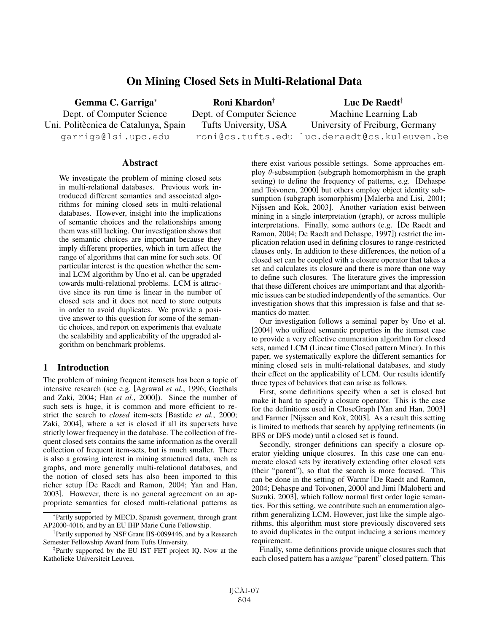# On Mining Closed Sets in Multi-Relational Data

Gemma C. Garriga<sup>∗</sup> Dept. of Computer Science Uni. Politècnica de Catalunya, Spain garriga@lsi.upc.edu Roni Khardon† Dept. of Computer Science Tufts University, USA roni@cs.tufts.edu luc.deraedt@cs.kuleuven.be Luc De Raedt<sup>‡</sup> Machine Learning Lab University of Freiburg, Germany

### Abstract

We investigate the problem of mining closed sets in multi-relational databases. Previous work introduced different semantics and associated algorithms for mining closed sets in multi-relational databases. However, insight into the implications of semantic choices and the relationships among them was still lacking. Our investigation shows that the semantic choices are important because they imply different properties, which in turn affect the range of algorithms that can mine for such sets. Of particular interest is the question whether the seminal LCM algorithm by Uno et al. can be upgraded towards multi-relational problems. LCM is attractive since its run time is linear in the number of closed sets and it does not need to store outputs in order to avoid duplicates. We provide a positive answer to this question for some of the semantic choices, and report on experiments that evaluate the scalability and applicability of the upgraded algorithm on benchmark problems.

## 1 Introduction

The problem of mining frequent itemsets has been a topic of intensive research (see e.g. [Agrawal *et al.*, 1996; Goethals and Zaki, 2004; Han *et al.*, 2000]). Since the number of such sets is huge, it is common and more efficient to restrict the search to *closed* item-sets [Bastide *et al.*, 2000; Zaki, 2004], where a set is closed if all its supersets have strictly lower frequency in the database. The collection of frequent closed sets contains the same information as the overall collection of frequent item-sets, but is much smaller. There is also a growing interest in mining structured data, such as graphs, and more generally multi-relational databases, and the notion of closed sets has also been imported to this richer setup [De Raedt and Ramon, 2004; Yan and Han, 2003]. However, there is no general agreement on an appropriate semantics for closed multi-relational patterns as

there exist various possible settings. Some approaches employ  $\theta$ -subsumption (subgraph homomorphism in the graph setting) to define the frequency of patterns, e.g. [Dehaspe and Toivonen, 2000] but others employ object identity subsumption (subgraph isomorphism) [Malerba and Lisi, 2001; Nijssen and Kok, 2003]. Another variation exist between mining in a single interpretation (graph), or across multiple interpretations. Finally, some authors (e.g. [De Raedt and Ramon, 2004; De Raedt and Dehaspe, 1997]) restrict the implication relation used in defining closures to range-restricted clauses only. In addition to these differences, the notion of a closed set can be coupled with a closure operator that takes a set and calculates its closure and there is more than one way to define such closures. The literature gives the impression that these different choices are unimportant and that algorithmic issues can be studied independently of the semantics. Our investigation shows that this impression is false and that semantics do matter.

Our investigation follows a seminal paper by Uno et al. [2004] who utilized semantic properties in the itemset case to provide a very effective enumeration algorithm for closed sets, named LCM (Linear time Closed pattern Miner). In this paper, we systematically explore the different semantics for mining closed sets in multi-relational databases, and study their effect on the applicability of LCM. Our results identify three types of behaviors that can arise as follows.

First, some definitions specify when a set is closed but make it hard to specify a closure operator. This is the case for the definitions used in CloseGraph [Yan and Han, 2003] and Farmer [Nijssen and Kok, 2003]. As a result this setting is limited to methods that search by applying refinements (in BFS or DFS mode) until a closed set is found.

Secondly, stronger definitions can specify a closure operator yielding unique closures. In this case one can enumerate closed sets by iteratively extending other closed sets (their "parent"), so that the search is more focused. This can be done in the setting of Warmr [De Raedt and Ramon, 2004; Dehaspe and Toivonen, 2000] and Jimi [Maloberti and Suzuki, 2003], which follow normal first order logic semantics. For this setting, we contribute such an enumeration algorithm generalizing LCM. However, just like the simple algorithms, this algorithm must store previously discovered sets to avoid duplicates in the output inducing a serious memory requirement.

Finally, some definitions provide unique closures such that each closed pattern has a *unique* "parent" closed pattern. This

<sup>∗</sup>Partly supported by MECD, Spanish goverment, through grant AP2000-4016, and by an EU IHP Marie Curie Fellowship.

<sup>†</sup>Partly supported by NSF Grant IIS-0099446, and by a Research Semester Fellowship Award from Tufts University.

<sup>‡</sup>Partly supported by the EU IST FET project IQ. Now at the Katholieke Universiteit Leuven.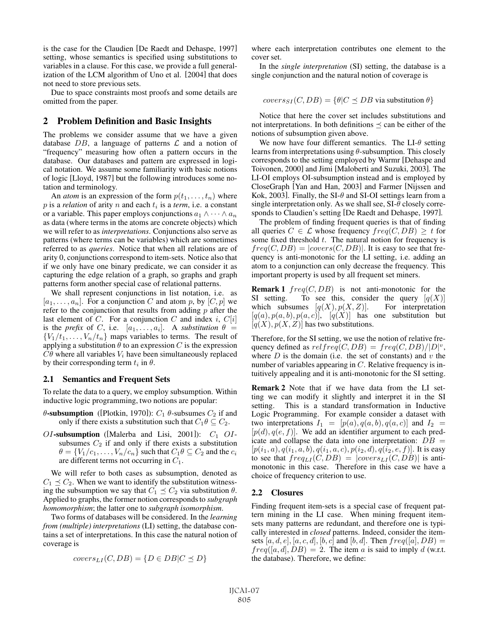is the case for the Claudien [De Raedt and Dehaspe, 1997] setting, whose semantics is specified using substitutions to variables in a clause. For this case, we provide a full generalization of the LCM algorithm of Uno et al. [2004] that does not need to store previous sets.

Due to space constraints most proofs and some details are omitted from the paper.

## 2 Problem Definition and Basic Insights

The problems we consider assume that we have a given database  $DB$ , a language of patterns  $\mathcal L$  and a notion of "frequency" measuring how often a pattern occurs in the database. Our databases and pattern are expressed in logical notation. We assume some familiarity with basic notions of logic [Lloyd, 1987] but the following introduces some notation and terminology.

An *atom* is an expression of the form  $p(t_1, \ldots, t_n)$  where p is a *relation* of arity n and each  $t_i$  is a *term*, i.e. a constant or a variable. This paper employs conjunctions  $a_1 \wedge \cdots \wedge a_n$ as data (where terms in the atoms are concrete objects) which we will refer to as *interpretations*. Conjunctions also serve as patterns (where terms can be variables) which are sometimes referred to as *queries*. Notice that when all relations are of arity 0, conjunctions correspond to item-sets. Notice also that if we only have one binary predicate, we can consider it as capturing the edge relation of a graph, so graphs and graph patterns form another special case of relational patterns.

We shall represent conjunctions in list notation, i.e. as  $[a_1,\ldots,a_n]$ . For a conjunction C and atom p, by  $[C,p]$  we refer to the conjunction that results from adding  $p$  after the last element of C. For a conjunction C and index i,  $C[i]$ is the *prefix* of C, i.e.  $[a_1, \ldots, a_i]$ . A *substitution*  $\theta$  =  ${V_1/t_1,...,V_n/t_n}$  maps variables to terms. The result of applying a substitution  $\theta$  to an expression C is the expression  $C\theta$  where all variables  $V_i$  have been simultaneously replaced by their corresponding term  $t_i$  in  $\theta$ .

#### 2.1 Semantics and Frequent Sets

To relate the data to a query, we employ subsumption. Within inductive logic programming, two notions are popular:

- θ-subsumption ([Plotkin, 1970]):  $C_1$  θ-subsumes  $C_2$  if and only if there exists a substitution such that  $C_1 \theta \subseteq C_2$ .
- OI-subsumption ([Malerba and Lisi, 2001]):  $C_1$  OIsubsumes  $C_2$  if and only if there exists a substitution  $\theta = \{V_1/c_1, \ldots, V_n/c_n\}$  such that  $C_1 \theta \subseteq C_2$  and the  $c_i$ are different terms not occurring in  $C_1$ .

We will refer to both cases as subsumption, denoted as  $C_1 \preceq C_2$ . When we want to identify the substitution witnessing the subsumption we say that  $C_1 \preceq C_2$  via substitution  $\theta$ . Applied to graphs, the former notion corresponds to *subgraph homomorphism*; the latter one to *subgraph isomorphism*.

Two forms of databases will be considered. In the *learning from (multiple) interpretations* (LI) setting, the database contains a set of interpretations. In this case the natural notion of coverage is

$$
covers_{LI}(C, DB) = \{D \in DB | C \preceq D\}
$$

where each interpretation contributes one element to the cover set.

In the *single interpretation* (SI) setting, the database is a single conjunction and the natural notion of coverage is

$$
covers_{SI}(C, DB) = \{ \theta | C \leq DB \text{ via substitution } \theta \}
$$

Notice that here the cover set includes substitutions and not interpretations. In both definitions  $\prec$  can be either of the notions of subsumption given above.

We now have four different semantics. The LI- $\theta$  setting learns from interpretations using  $\theta$ -subsumption. This closely corresponds to the setting employed by Warmr [Dehaspe and Toivonen, 2000] and Jimi [Maloberti and Suzuki, 2003]. The LI-OI employs OI-subsumption instead and is employed by CloseGraph [Yan and Han, 2003] and Farmer [Nijssen and Kok, 2003]. Finally, the SI- $\theta$  and SI-OI settings learn from a single interpretation only. As we shall see,  $SI-\theta$  closely corresponds to Claudien's setting [De Raedt and Dehaspe, 1997].

The problem of finding frequent queries is that of finding all queries  $C \in \mathcal{L}$  whose frequency  $freq(C, DB) \geq t$  for some fixed threshold  $t$ . The natural notion for frequency is  $freq(C, DB) = | covers(C, DB)|$ . It is easy to see that frequency is anti-monotonic for the LI setting, i.e. adding an atom to a conjunction can only decrease the frequency. This important property is used by all frequent set miners.

**Remark 1**  $freq(C, DB)$  is not anti-monotonic for the SI setting. To see this, consider the query  $[q(X)]$ which subsumes  $[q(X), p(X, Z)]$ . For interpretation  $[q(a), p(a, b), p(a, c)]$ ,  $[q(X)]$  has one substitution but  $[q(X), p(X, Z)]$  has two substitutions.

Therefore, for the SI setting, we use the notion of relative frequency defined as  $relfreq(C, DB) = freq(C, DB)/|D|^v$ , where  $D$  is the domain (i.e. the set of constants) and  $v$  the number of variables appearing in C. Relative frequency is intuitively appealing and it is anti-monotonic for the SI setting.

Remark 2 Note that if we have data from the LI setting we can modify it slightly and interpret it in the SI setting. This is a standard transformation in Inductive Logic Programming. For example consider a dataset with two interpretations  $I_1 = [p(a), q(a, b), q(a, c)]$  and  $I_2 =$  $[p(d), q(e, f)]$ . We add an identifier argument to each predicate and collapse the data into one interpretation:  $DB =$  $[p(i_1, a), q(i_1, a, b), q(i_1, a, c), p(i_2, d), q(i_2, e, f)]$ . It is easy to see that  $freq_{LI}(C, DB) = | covers_{LI}(C, DB)|$  is antimonotonic in this case. Therefore in this case we have a choice of frequency criterion to use.

#### 2.2 Closures

Finding frequent item-sets is a special case of frequent pattern mining in the LI case. When mining frequent itemsets many patterns are redundant, and therefore one is typically interested in *closed* patterns. Indeed, consider the itemsets  $[a, d, e]$ ,  $[a, c, d]$ ,  $[b, c]$  and  $[b, d]$ . Then  $freq([a], DB)$  =  $freq([a, d], DB) = 2$ . The item a is said to imply d (w.r.t. the database). Therefore, we define: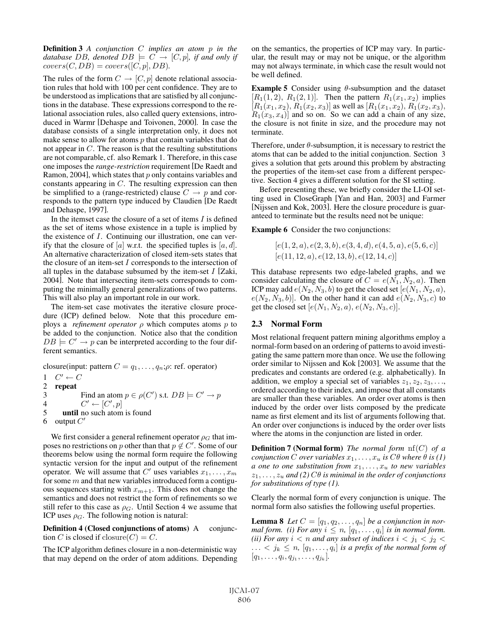Definition 3 *A conjunction* C *implies an atom* p *in the database* DB, denoted  $DB \models C \rightarrow [C, p]$ , if and only if  $covers(C, DB) = covers([C, p], DB).$ 

The rules of the form  $C \to [C, p]$  denote relational association rules that hold with 100 per cent confidence. They are to be understood as implications that are satisfied by all conjunctions in the database. These expressions correspond to the relational association rules, also called query extensions, introduced in Warmr [Dehaspe and Toivonen, 2000]. In case the database consists of a single interpretation only, it does not make sense to allow for atoms  $p$  that contain variables that do not appear in C. The reason is that the resulting substitutions are not comparable, cf. also Remark 1. Therefore, in this case one imposes the *range-restriction* requirement [De Raedt and Ramon, 2004], which states that  $p$  only contains variables and constants appearing in C. The resulting expression can then be simplified to a (range-restricted) clause  $C \rightarrow p$  and corresponds to the pattern type induced by Claudien [De Raedt and Dehaspe, 1997].

In the itemset case the closure of a set of items  $I$  is defined as the set of items whose existence in a tuple is implied by the existence of I. Continuing our illustration, one can verify that the closure of  $[a]$  w.r.t. the specified tuples is  $[a, d]$ . An alternative characterization of closed item-sets states that the closure of an item-set  $I$  corresponds to the intersection of all tuples in the database subsumed by the item-set  $I$  [Zaki, 2004]. Note that intersecting item-sets corresponds to computing the minimally general generalizations of two patterns. This will also play an important role in our work.

The item-set case motivates the iterative closure procedure (ICP) defined below. Note that this procedure employs a *refinement operator*  $\rho$  which computes atoms  $p$  to be added to the conjunction. Notice also that the condition  $DB \models C' \rightarrow p$  can be interpreted according to the four different semantics.

closure(input: pattern  $C = q_1, \ldots, q_n; \rho$ : ref. operator)

- 1  $C' \leftarrow C$
- 

2 repeat  $3$ 3 Find an atom  $p \in \rho(C')$  s.t.  $DB \models C' \rightarrow p$ 4  $C' \leftarrow [C', p]$ 

- 5 until no such atom is found
- 6 output  $C'$

We first consider a general refinement operator  $\rho_G$  that imposes no restrictions on p other than that  $p \notin C'$ . Some of our theorems below using the normal form require the following syntactic version for the input and output of the refinement operator. We will assume that C' uses variables  $x_1, \ldots, x_m$ for some  $m$  and that new variables introduced form a contiguous sequences starting with  $x_{m+1}$ . This does not change the semantics and does not restrict the form of refinements so we still refer to this case as  $\rho_G$ . Until Section 4 we assume that ICP uses  $\rho_G$ . The following notion is natural:

Definition 4 (Closed conjunctions of atoms) A conjunction C is closed if  $\text{closure}(C) = C$ .

The ICP algorithm defines closure in a non-deterministic way that may depend on the order of atom additions. Depending on the semantics, the properties of ICP may vary. In particular, the result may or may not be unique, or the algorithm may not always terminate, in which case the result would not be well defined.

**Example 5** Consider using  $\theta$ -subsumption and the dataset  $[R_1(1, 2), R_1(2, 1)]$ . Then the pattern  $R_1(x_1, x_2)$  implies  $[R_1(x_1, x_2), R_1(x_2, x_3)]$  as well as  $[R_1(x_1, x_2), R_1(x_2, x_3)]$ ,  $R_1(x_3, x_4)$  and so on. So we can add a chain of any size, the closure is not finite in size, and the procedure may not terminate.

Therefore, under  $\theta$ -subsumption, it is necessary to restrict the atoms that can be added to the initial conjunction. Section 3 gives a solution that gets around this problem by abstracting the properties of the item-set case from a different perspective. Section 4 gives a different solution for the SI setting.

Before presenting these, we briefly consider the LI-OI setting used in CloseGraph [Yan and Han, 2003] and Farmer [Nijssen and Kok, 2003]. Here the closure procedure is guaranteed to terminate but the results need not be unique:

Example 6 Consider the two conjunctions:

$$
\begin{matrix} [e(1,2,a),e(2,3,b),e(3,4,d),e(4,5,a),e(5,6,c)]\ [e(11,12,a),e(12,13,b),e(12,14,c)]\end{matrix}
$$

This database represents two edge-labeled graphs, and we consider calculating the closure of  $C = e(N_1, N_2, a)$ . Then ICP may add  $e(N_2, N_3, b)$  to get the closed set  $[e(N_1, N_2, a),]$  $e(N_2, N_3, b)$ . On the other hand it can add  $e(N_2, N_3, c)$  to get the closed set  $[e(N_1, N_2, a), e(N_2, N_3, c)].$ 

#### 2.3 Normal Form

Most relational frequent pattern mining algorithms employ a normal-form based on an ordering of patterns to avoid investigating the same pattern more than once. We use the following order similar to Nijssen and Kok [2003]. We assume that the predicates and constants are ordered (e.g. alphabetically). In addition, we employ a special set of variables  $z_1, z_2, z_3, \ldots$ ordered according to their index, and impose that all constants are smaller than these variables. An order over atoms is then induced by the order over lists composed by the predicate name as first element and its list of arguments following that. An order over conjunctions is induced by the order over lists where the atoms in the conjunction are listed in order.

Definition 7 (Normal form) *The normal form* nf(C) *of a conjunction* C *over variables*  $x_1, \ldots, x_u$  *is*  $C\theta$  *where*  $\theta$  *is* (1) *a* one *to one substitution from*  $x_1, \ldots, x_u$  *to new variables*  $z_1, \ldots, z_u$  *and (2)*  $C\theta$  *is minimal in the order of conjunctions for substitutions of type (1).*

Clearly the normal form of every conjunction is unique. The normal form also satisfies the following useful properties.

**Lemma 8** Let  $C = [q_1, q_2, \ldots, q_n]$  be a conjunction in nor*mal form.* (*i*) For any  $i \leq n$ ,  $[q_1, \ldots, q_i]$  *is in normal form. (ii) For any*  $i < n$  *and any subset of indices*  $i < j_1 < j_2 <$  $\ldots$  <  $j_k \leq n$ ,  $[q_1, \ldots, q_i]$  *is a prefix of the normal form of*  $[q_1,\ldots,q_i,q_{j_1},\ldots,q_{j_k}].$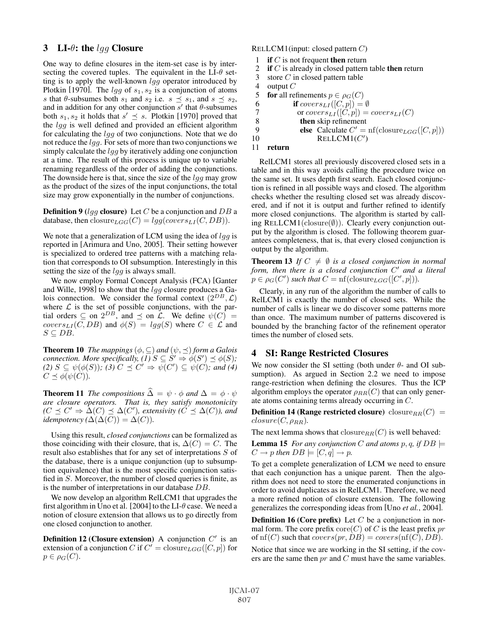## 3 LI- $\theta$ : the *lqq* Closure

One way to define closures in the item-set case is by intersecting the covered tuples. The equivalent in the  $LI-\theta$  setting is to apply the well-known *lgg* operator introduced by Plotkin [1970]. The *lgg* of  $s_1, s_2$  is a conjunction of atoms s that  $\theta$ -subsumes both  $s_1$  and  $s_2$  i.e.  $s \preceq s_1$ , and  $s \preceq s_2$ , and in addition for any other conjunction  $s'$  that  $\theta$ -subsumes both  $s_1, s_2$  it holds that  $s' \preceq s$ . Plotkin [1970] proved that the lgg is well defined and provided an efficient algorithm for calculating the lgg of two conjunctions. Note that we do not reduce the lgg. For sets of more than two conjunctions we simply calculate the  $l \dot{q} q$  by iteratively adding one conjunction at a time. The result of this process is unique up to variable renaming regardless of the order of adding the conjunctions. The downside here is that, since the size of the  $\log q$  may grow as the product of the sizes of the input conjunctions, the total size may grow exponentially in the number of conjunctions.

**Definition 9** (lgg closure) Let C be a conjunction and DB a database, then closure $_{LGG}(C) = lgg(covers<sub>LI</sub>(C, DB))$ .

We note that a generalization of LCM using the idea of  $lqq$  is reported in [Arimura and Uno, 2005]. Their setting however is specialized to ordered tree patterns with a matching relation that corresponds to OI subsumption. Interestingly in this setting the size of the  $lgq$  is always small.

We now employ Formal Concept Analysis (FCA) [Ganter and Wille, 1998] to show that the  $\log q$  closure produces a Galois connection. We consider the formal context  $(2^{DB}, \mathcal{L})$ where  $\mathcal L$  is the set of possible conjunctions, with the partial orders  $\subseteq$  on  $2^{DB}$ , and  $\preceq$  on  $\mathcal L$ . We define  $\psi(C)$  = covers<sub>LI</sub>( $\overline{C}$ , DB) and  $\phi(S) = lgg(S)$  where  $C \in \mathcal{L}$  and  $S \subseteq DB$ .

**Theorem 10** *The mappings*  $(\phi, \subseteq)$  *and*  $(\psi, \preceq)$  *form a Galois connection. More specifically, (1)*  $S \subseteq S' \Rightarrow \phi(S') \preceq \phi(S)$ ;<br>
(2)  $S \subseteq \psi(\phi(S))$ ; (3)  $C \preceq C' \Rightarrow \psi(C') \subseteq \psi(C)$ ; and (4)  $C \preceq \phi(\psi(C)).$ 

**Theorem 11** *The compositions*  $\widehat{\Delta} = \psi \cdot \phi$  *and*  $\Delta = \phi \cdot \psi$ *are closure operators. That is, they satisfy monotonicity*  $(C \preceq C' \Rightarrow \Delta(C) \preceq \Delta(C')$ , extensivity  $(C \preceq \Delta(C))$ , and *idempotency* ( $\Delta(\Delta(C)) = \Delta(C)$ ).

Using this result, *closed conjunctions* can be formalized as those coinciding with their closure, that is,  $\Delta(C) = C$ . The result also establishes that for any set of interpretations S of the database, there is a unique conjunction (up to subsumption equivalence) that is the most specific conjunction satisfied in S. Moreover, the number of closed queries is finite, as is the number of interpretations in our database DB.

We now develop an algorithm RelLCM1 that upgrades the first algorithm in Uno et al. [2004] to the LI- $\theta$  case. We need a notion of closure extension that allows us to go directly from one closed conjunction to another.

**Definition 12 (Closure extension)** A conjunction  $C'$  is an extension of a conjunction C if  $C' = \text{closure}_{LGG}([C, p])$  for  $p \in \rho_G(C)$ .

RELLCM1(input: closed pattern C)

- 1 if  $C$  is not frequent then return
- 2 if  $C$  is already in closed pattern table then return
- 3 store C in closed pattern table
- 4 output  $C$
- 5 **for** all refinements  $p \in \rho_G(C)$
- 6 if  $covers_{LI}([C, p]) = \emptyset$
- 7 or  $\text{cover}_{\text{SLI}}([C,p]) = \text{cover}_{\text{SLI}}(C)$
- 8 then skip refinement
- 9 **else** Calculate  $C' = nf(\text{closure}_{LGG}([C, p]))$
- 10 RELLCM1(C')

### 11 return

RelLCM1 stores all previously discovered closed sets in a table and in this way avoids calling the procedure twice on the same set. It uses depth first search. Each closed conjunction is refined in all possible ways and closed. The algorithm checks whether the resulting closed set was already discovered, and if not it is output and further refined to identify more closed conjunctions. The algorithm is started by calling RELLCM1(closure $(\emptyset)$ ). Clearly every conjunction output by the algorithm is closed. The following theorem guarantees completeness, that is, that every closed conjunction is output by the algorithm.

**Theorem 13** *If*  $C \neq \emptyset$  *is a closed conjunction in normal* form, then there is a closed conjunction C' and a literal  $p \in \rho_G(C')$  such that  $C = \text{nf}(\text{closure}_{LGG}([C', p])).$ 

Clearly, in any run of the algorithm the number of calls to RelLCM1 is exactly the number of closed sets. While the number of calls is linear we do discover some patterns more than once. The maximum number of patterns discovered is bounded by the branching factor of the refinement operator times the number of closed sets.

## 4 SI: Range Restricted Closures

We now consider the SI setting (both under  $\theta$ - and OI subsumption). As argued in Section 2.2 we need to impose range-restriction when defining the closures. Thus the ICP algorithm employs the operator  $\rho_{RR}(C)$  that can only generate atoms containing terms already occurring in C.

**Definition 14 (Range restricted closure)** closure $_{RR}(C)$  =  $closure(C, \rho_{RR})$ .

The next lemma shows that  $\text{closure}_{RR}(C)$  is well behaved:

**Lemma 15** *For any conjunction C and atoms*  $p, q$ *, if*  $DB \models$  $C \rightarrow p$  then  $DB \models [C, q] \rightarrow p$ .

To get a complete generalization of LCM we need to ensure that each conjunction has a unique parent. Then the algorithm does not need to store the enumerated conjunctions in order to avoid duplicates as in RelLCM1. Therefore, we need a more refined notion of closure extension. The following generalizes the corresponding ideas from [Uno *et al.*, 2004].

**Definition 16 (Core prefix)** Let  $C$  be a conjunction in normal form. The core prefix core $(C)$  of C is the least prefix pr of  $\text{nf}(C)$  such that  $\text{cover}_S(pr, DB) = \text{cover}_S(\text{nf}(C), DB)$ .

Notice that since we are working in the SI setting, if the covers are the same then  $pr$  and  $C$  must have the same variables.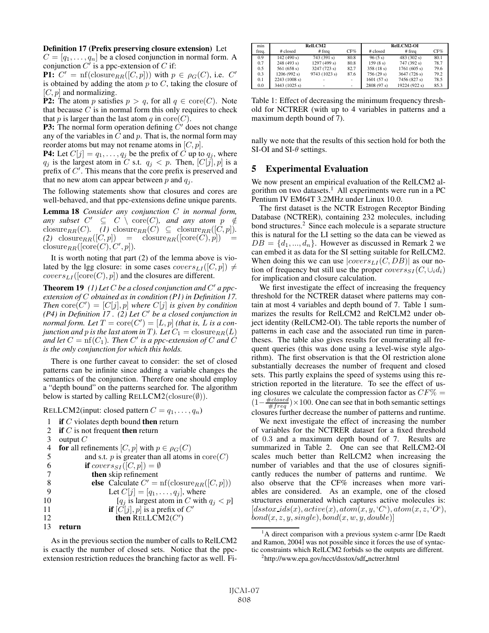#### Definition 17 (Prefix preserving closure extension) Let

 $C = [q_1, \ldots, q_n]$  be a closed conjunction in normal form. A conjunction  $C^{\prime}$  is a ppc-extension of C if:

**P1:**  $C' = \text{nf}(\text{closure}_{RR}([C, p]))$  with  $p \in \rho_G(C)$ , i.e.  $C'$ is obtained by adding the atom  $p$  to  $C$ , taking the closure of  $[C, p]$  and normalizing.

**P2:** The atom p satisfies  $p > q$ , for all  $q \in \text{core}(C)$ . Note that because  $C$  is in normal form this only requires to check that p is larger than the last atom q in  $\text{core}(C)$ .

**P3:** The normal form operation defining  $\hat{C}'$  does not change any of the variables in  $C$  and  $p$ . That is, the normal form may reorder atoms but may not rename atoms in  $[C, p]$ .

**P4:** Let  $C[j] = q_1, \ldots, q_j$  be the prefix of C up to  $q_j$ , where  $q_j$  is the largest atom in C s.t.  $q_j < p$ . Then,  $[C[j], p]$  is a prefix of  $C'$ . This means that the core prefix is preserved and that no new atom can appear between  $p$  and  $q_i$ .

The following statements show that closures and cores are well-behaved, and that ppc-extensions define unique parents.

Lemma 18 *Consider any conjunction* C *in normal form,*  $any \; subset \; C' \;\subseteq\; C \; \setminus \; core(C), \; and \; any \; atom \; p \; \notin$ closure<sub>RR</sub>(C). (1) closure<sub>RR</sub>(C)  $\subseteq$  closure<sub>RR</sub>([C, p]).  $(2)$  closure<sub>RR</sub>([C, p]) = closure<sub>RR</sub>([core(C), p]) =  $\text{closure}_{RR}([\text{core}(C), C', p]).$ 

It is worth noting that part (2) of the lemma above is violated by the lgg closure: in some cases  $\text{cover}_{\text{ELI}}([C, p]) \neq$  $covers_{LI}({\rm [core}(C), p])$  and the closures are different.

Theorem 19 (1) Let C be a closed conjunction and C' a ppc*extension of* C *obtained as in condition (P1) in Definition 17.*  $Then \space core(C') = [C[j], p]$  where  $C[j]$  *is given by condition*  $(P4)$  in Definition 17. (2) Let C' be a closed conjunction in *normal form. Let*  $T = \text{core}(C') = [L, p]$  *(that is, L is a conjunction and p is the last atom in* T). Let  $C_1 = \text{closure}_{RR}(L)$ and let  $C = \text{nf}(C_1)$ . Then  $C'$  is a ppc-extension of  $C$  and  $\overline{C}$ *is the only conjunction for which this holds.*

There is one further caveat to consider: the set of closed patterns can be infinite since adding a variable changes the semantics of the conjunction. Therefore one should employ a "depth bound" on the patterns searched for. The algorithm below is started by calling RELLCM2( $\text{closure}(\emptyset)$ ).

RELLCM2(input: closed pattern  $C = q_1, \ldots, q_n$ )

- 1 if  $C$  violates depth bound then return
- 2 if  $C$  is not frequent then return
- 3 output  $C$

```
4 for all refinements [C, p] with p \in \rho_G(C)<br>5 and s.t. p is greater than all atoms
           and s.t. p is greater than all atoms in \text{core}(C)6 if covers_{SI}([C, p]) = \emptyset7 then skip refinement
 8 else Calculate C' = nf(\text{closure}_{RR}([C, p]))9 Let C[j]=[q_1,\ldots,q_j], where
10 [q_j is largest atom in C with q_j < p]
11 if [C[j], p] is a prefix of C'
12 then RELLCM2(C')13 return
```
As in the previous section the number of calls to RelLCM2 is exactly the number of closed sets. Notice that the ppcextension restriction reduces the branching factor as well. Fi-

| min   | RelLCM2       |               |      | RelLCM2-OI |               |      |
|-------|---------------|---------------|------|------------|---------------|------|
| freq. | # closed      | # freq        | CF%  | # closed   | # freq        | CF%  |
| 0.9   | 142(490 s)    | 743 (391 s)   | 80.8 | 96(5 s)    | 483 (302 s)   | 80.1 |
| 0.7   | 248(493 s)    | 1297(499 s)   | 80.8 | 159(8 s)   | 747 (392 s)   | 78.7 |
| 0.5   | 561(658 s)    | 3247(723 s)   | 82.7 | 358(18 s)  | 1761(605 s)   | 79.6 |
| 0.3   | 1206(992 s)   | 9743 (1023 s) | 87.6 | 756(29 s)  | 3647 (726 s)  | 79.2 |
| 0.1   | 2243 (1008 s) |               | -    | 1601(57 s) | 7456 (827 s)  | 78.5 |
| 0.0   | 3443(1025 s)  | ۰             | -    | 2808(97 s) | 19224 (922 s) | 85.3 |

Table 1: Effect of decreasing the minimum frequency threshold for NCTRER (with up to 4 variables in patterns and a maximum depth bound of 7).

nally we note that the results of this section hold for both the SI-OI and SI- $\theta$  settings.

## 5 Experimental Evaluation

We now present an empirical evaluation of the RelLCM2 algorithm on two datasets.<sup>1</sup> All experiments were run in a PC Pentium IV EM64T 3.2MHz under Linux 10.0.

The first dataset is the NCTR Estrogen Receptor Binding Database (NCTRER), containing 232 molecules, including bond structures.<sup>2</sup> Since each molecule is a separate structure this is natural for the LI setting so the data can be viewed as  $DB = \{d_1, ..., d_n\}$ . However as discussed in Remark 2 we can embed it as data for the SI setting suitable for RelLCM2. When doing this we can use  $|cores_{LI}(C, DB)|$  as our notion of frequency but still use the proper  $\text{cover}_{SSI}(C, \cup_i d_i)$ for implication and closure calculation.

We first investigate the effect of increasing the frequency threshold for the NCTRER dataset where patterns may contain at most 4 variables and depth bound of 7. Table 1 summarizes the results for RelLCM2 and RelCLM2 under object identity (RelLCM2-OI). The table reports the number of patterns in each case and the associated run time in parentheses. The table also gives results for enumerating all frequent queries (this was done using a level-wise style algorithm). The first observation is that the OI restriction alone substantially decreases the number of frequent and closed sets. This partly explains the speed of systems using this restriction reported in the literature. To see the effect of using closures we calculate the compression factor as  $CF\% =$  $(1-\frac{\text{\#closed}}{\text{\#freq}})\times 100$ . One can see that in both semantic settings closures further decrease the number of patterns and runtime.

We next investigate the effect of increasing the number of variables for the NCTRER dataset for a fixed threshold of 0.3 and a maximum depth bound of 7. Results are summarized in Table 2. One can see that RelLCM2-OI scales much better than RelLCM2 when increasing the number of variables and that the use of closures significantly reduces the number of patterns and runtime. We also observe that the CF% increases when more variables are considered. As an example, one of the closed structures enumerated which captures active molecules is:  $[dstox\_ids(x), active(x), atom(x, y, 'C'), atom(x, z, 'O'),$  $bond(x, z, y, single), bond(x, w, y, double)]$ 

<sup>&</sup>lt;sup>1</sup>A direct comparison with a previous system c-armr [De Raedt and Ramon, 2004] was not possible since it forces the use of syntactic constraints which RelLCM2 forbids so the outputs are different.

<sup>&</sup>lt;sup>2</sup>http://www.epa.gov/ncct/dsstox/sdf\_nctrer.html